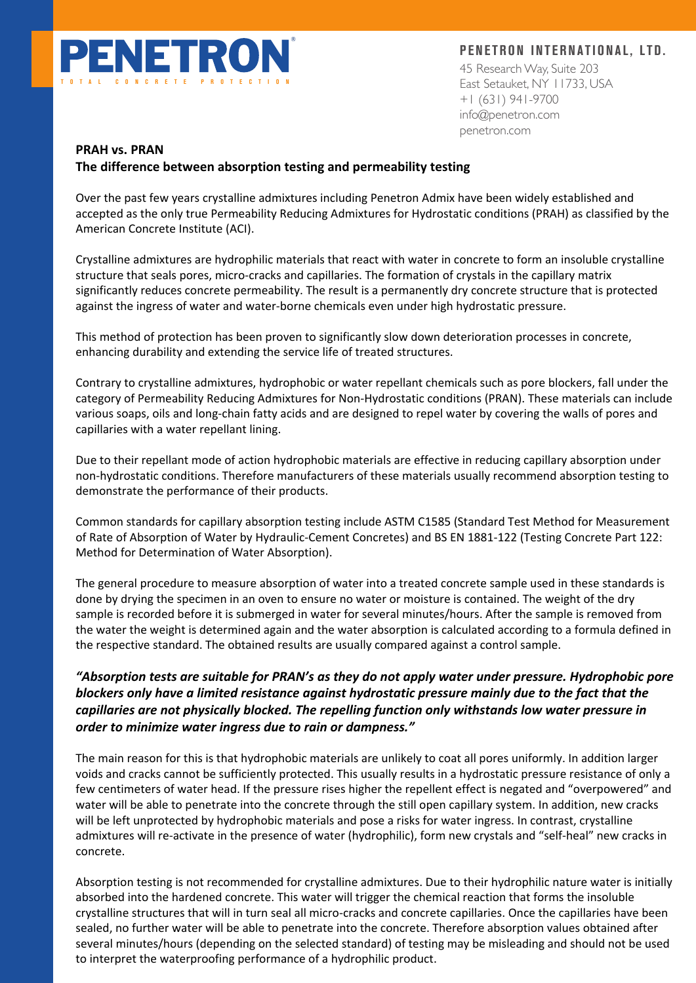

**PENETRON INTERNATIONAL, LTD.**

45 Research Way, Suite 203 East Setauket, NY 11733, USA +1 (631) 941-9700 info@penetron.com penetron.com

#### **PRAH vs. PRAN**

### **The difference between absorption testing and permeability testing**

Over the past few years crystalline admixtures including Penetron Admix have been widely established and accepted as the only true Permeability Reducing Admixtures for Hydrostatic conditions (PRAH) as classified by the American Concrete Institute (ACI).

Crystalline admixtures are hydrophilic materials that react with water in concrete to form an insoluble crystalline structure that seals pores, micro-cracks and capillaries. The formation of crystals in the capillary matrix significantly reduces concrete permeability. The result is a permanently dry concrete structure that is protected against the ingress of water and water-borne chemicals even under high hydrostatic pressure.

This method of protection has been proven to significantly slow down deterioration processes in concrete, enhancing durability and extending the service life of treated structures.

Contrary to crystalline admixtures, hydrophobic or water repellant chemicals such as pore blockers, fall under the category of Permeability Reducing Admixtures for Non-Hydrostatic conditions (PRAN). These materials can include various soaps, oils and long-chain fatty acids and are designed to repel water by covering the walls of pores and capillaries with a water repellant lining.

Due to their repellant mode of action hydrophobic materials are effective in reducing capillary absorption under non-hydrostatic conditions. Therefore manufacturers of these materials usually recommend absorption testing to demonstrate the performance of their products.

Common standards for capillary absorption testing include ASTM C1585 (Standard Test Method for Measurement of Rate of Absorption of Water by Hydraulic-Cement Concretes) and BS EN 1881-122 (Testing Concrete Part 122: Method for Determination of Water Absorption).

The general procedure to measure absorption of water into a treated concrete sample used in these standards is done by drying the specimen in an oven to ensure no water or moisture is contained. The weight of the dry sample is recorded before it is submerged in water for several minutes/hours. After the sample is removed from the water the weight is determined again and the water absorption is calculated according to a formula defined in the respective standard. The obtained results are usually compared against a control sample.

# *"Absorption tests are suitable for PRAN's as they do not apply water under pressure. Hydrophobic pore blockers only have a limited resistance against hydrostatic pressure mainly due to the fact that the capillaries are not physically blocked. The repelling function only withstands low water pressure in order to minimize water ingress due to rain or dampness."*

The main reason for this is that hydrophobic materials are unlikely to coat all pores uniformly. In addition larger voids and cracks cannot be sufficiently protected. This usually results in a hydrostatic pressure resistance of only a few centimeters of water head. If the pressure rises higher the repellent effect is negated and "overpowered" and water will be able to penetrate into the concrete through the still open capillary system. In addition, new cracks will be left unprotected by hydrophobic materials and pose a risks for water ingress. In contrast, crystalline admixtures will re-activate in the presence of water (hydrophilic), form new crystals and "self-heal" new cracks in concrete.

Absorption testing is not recommended for crystalline admixtures. Due to their hydrophilic nature water is initially absorbed into the hardened concrete. This water will trigger the chemical reaction that forms the insoluble crystalline structures that will in turn seal all micro-cracks and concrete capillaries. Once the capillaries have been sealed, no further water will be able to penetrate into the concrete. Therefore absorption values obtained after several minutes/hours (depending on the selected standard) of testing may be misleading and should not be used to interpret the waterproofing performance of a hydrophilic product.